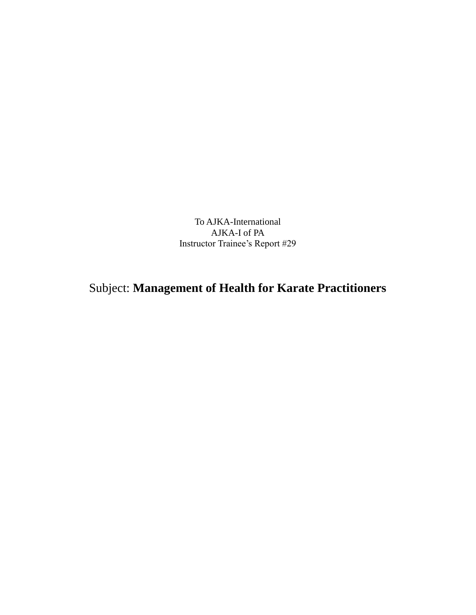To AJKA-International AJKA-I of PA Instructor Trainee's Report #29

## Subject: **Management of Health for Karate Practitioners**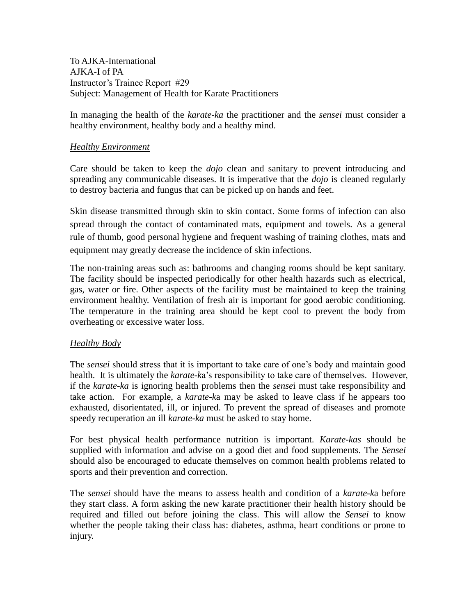To AJKA-International AJKA-I of PA Instructor's Trainee Report #29 Subject: Management of Health for Karate Practitioners

In managing the health of the *karate-ka* the practitioner and the *sensei* must consider a healthy environment, healthy body and a healthy mind.

## *Healthy Environment*

Care should be taken to keep the *dojo* clean and sanitary to prevent introducing and spreading any communicable diseases. It is imperative that the *dojo* is cleaned regularly to destroy bacteria and fungus that can be picked up on hands and feet.

Skin disease transmitted through skin to skin contact. Some forms of infection can also spread through the contact of contaminated mats, equipment and towels. As a general rule of thumb, good personal hygiene and frequent washing of training clothes, mats and equipment may greatly decrease the incidence of skin infections.

The non-training areas such as: bathrooms and changing rooms should be kept sanitary. The facility should be inspected periodically for other health hazards such as electrical, gas, water or fire. Other aspects of the facility must be maintained to keep the training environment healthy. Ventilation of fresh air is important for good aerobic conditioning. The temperature in the training area should be kept cool to prevent the body from overheating or excessive water loss.

## *Healthy Body*

The *sensei* should stress that it is important to take care of one's body and maintain good health. It is ultimately the *karate-k*a's responsibility to take care of themselves. However, if the *karate-ka* is ignoring health problems then the *sense*i must take responsibility and take action. For example, a *karate-k*a may be asked to leave class if he appears too exhausted, disorientated, ill, or injured. To prevent the spread of diseases and promote speedy recuperation an ill *karate-ka* must be asked to stay home.

For best physical health performance nutrition is important. *Karate-kas* should be supplied with information and advise on a good diet and food supplements. The *Sensei* should also be encouraged to educate themselves on common health problems related to sports and their prevention and correction.

The *sensei* should have the means to assess health and condition of a *karate-k*a before they start class. A form asking the new karate practitioner their health history should be required and filled out before joining the class. This will allow the *Sensei* to know whether the people taking their class has: diabetes, asthma, heart conditions or prone to injury.